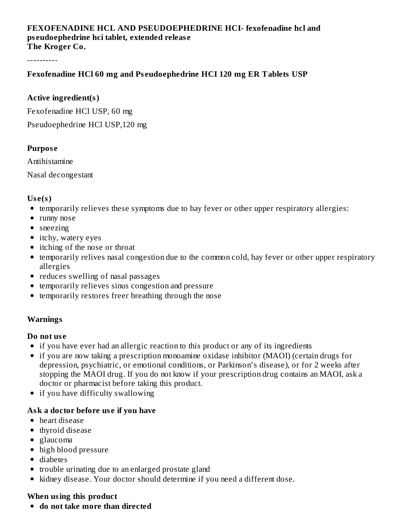## **FEXOFENADINE HCL AND PSEUDOEPHEDRINE HCI- fexofenadine hcl and ps eudoephedrine hci tablet, extended releas e The Kroger Co.**

----------

## **Fexofenadine HCl 60 mg and Ps eudoephedrine HCI 120 mg ER Tablets USP**

## **Active ingredient(s)**

Fexofenadine HCl USP, 60 mg

Pseudoephedrine HCl USP,120 mg

### **Purpos e**

Antihistamine

Nasal decongestant

## **Us e(s)**

- temporarily relieves these symptoms due to hay fever or other upper respiratory allergies:
- runny nose
- sneezing
- itchy, watery eyes
- itching of the nose or throat
- temporarily relives nasal congestion due to the common cold, hay fever or other upper respiratory allergies
- reduces swelling of nasal passages
- temporarily relieves sinus congestion and pressure
- temporarily restores freer breathing through the nose

# **Warnings**

### **Do not us e**

- if you have ever had an allergic reaction to this product or any of its ingredients
- if you are now taking a prescription monoamine oxidase inhibitor (MAOI) (certain drugs for depression, psychiatric, or emotional conditions, or Parkinson's disease), or for 2 weeks after stopping the MAOI drug. If you do not know if your prescription drug contains an MAOI, ask a doctor or pharmacist before taking this product.
- if you have difficulty swallowing

# **Ask a doctor before us e if you have**

- heart disease
- thyroid disease
- glaucoma
- high blood pressure
- diabetes
- trouble urinating due to an enlarged prostate gland
- kidney disease. Your doctor should determine if you need a different dose.

# **When using this product**

**do not take more than directed**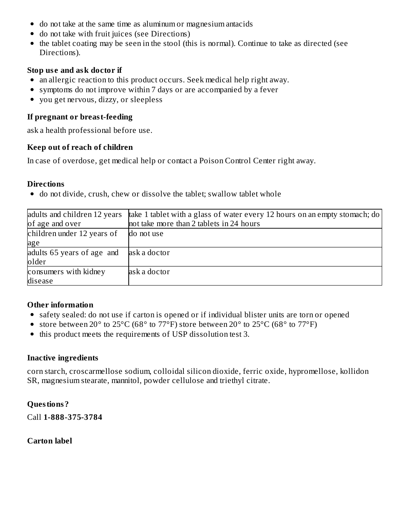- do not take at the same time as aluminum or magnesium antacids
- do not take with fruit juices (see Directions)
- the tablet coating may be seen in the stool (this is normal). Continue to take as directed (see Directions).

## **Stop us e and ask doctor if**

- an allergic reaction to this product occurs. Seek medical help right away.
- symptoms do not improve within 7 days or are accompanied by a fever
- you get nervous, dizzy, or sleepless

## **If pregnant or breast-feeding**

ask a health professional before use.

## **Keep out of reach of children**

In case of overdose, get medical help or contact a Poison Control Center right away.

## **Directions**

do not divide, crush, chew or dissolve the tablet; swallow tablet whole

| adults and children 12 years<br>of age and over | take 1 tablet with a glass of water every 12 hours on an empty stomach; do<br>not take more than 2 tablets in 24 hours |
|-------------------------------------------------|------------------------------------------------------------------------------------------------------------------------|
| children under 12 years of                      | do not use                                                                                                             |
| age                                             |                                                                                                                        |
| adults 65 years of age and                      | ask a doctor                                                                                                           |
| older                                           |                                                                                                                        |
| consumers with kidney                           | ask a doctor                                                                                                           |
| disease                                         |                                                                                                                        |

# **Other information**

- safety sealed: do not use if carton is opened or if individual blister units are torn or opened
- store between 20 $\degree$  to 25 $\degree$ C (68 $\degree$  to 77 $\degree$ F) store between 20 $\degree$  to 25 $\degree$ C (68 $\degree$  to 77 $\degree$ F)
- this product meets the requirements of USP dissolution test 3.

### **Inactive ingredients**

corn starch, croscarmellose sodium, colloidal silicon dioxide, ferric oxide, hypromellose, kollidon SR, magnesium stearate, mannitol, powder cellulose and triethyl citrate.

# **Questions?**

Call **1-888-375-3784**

# **Carton label**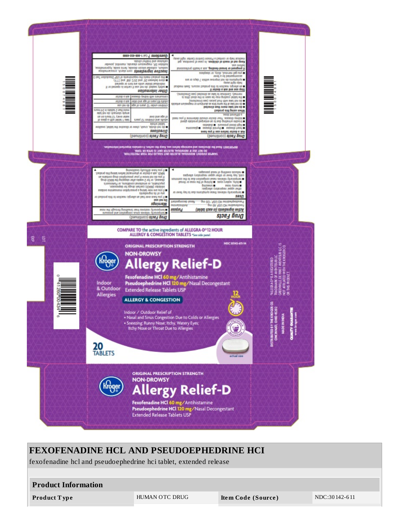

| <b>FEXOFENADINE HCL AND PSEUDOEPHEDRINE HCI</b><br>fexofenadine hcl and pseudoephedrine hci tablet, extended release |                |                    |               |  |  |  |  |  |  |
|----------------------------------------------------------------------------------------------------------------------|----------------|--------------------|---------------|--|--|--|--|--|--|
| <b>Product Information</b>                                                                                           |                |                    |               |  |  |  |  |  |  |
| Product Type                                                                                                         | HUMAN OTC DRUG | Item Code (Source) | NDC:30142-611 |  |  |  |  |  |  |